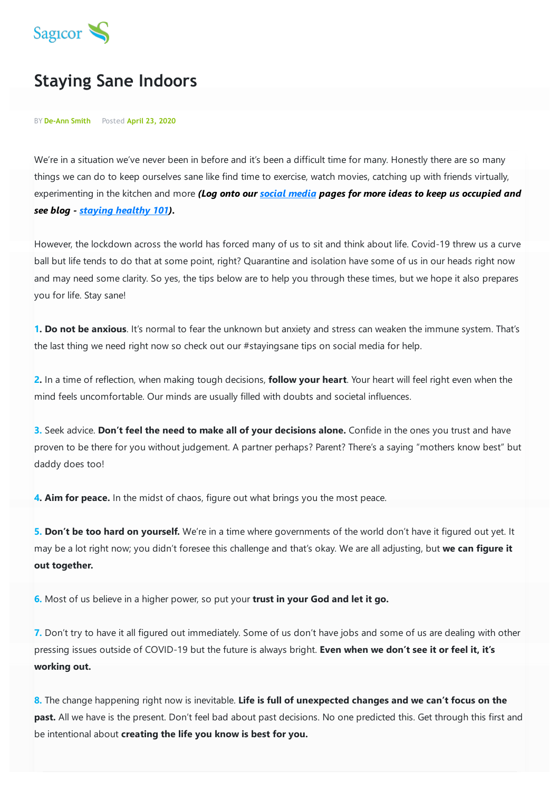

## **Staying Sane Indoors**

BY **De-Ann Smith** Posted **April 23, 2020**

We're in a situation we've never been in before and it's been a difficult time for many. Honestly there are so many things we can do to keep ourselves sane like find time to exercise, watch movies, catching up with friends virtually, experimenting in the kitchen and more *(Log onto our social [media](https://www.facebook.com/SagicorLifeInc) [p](https://www.facebook.com/SagicorLifeInc)ages for more ideas to keep us occupied and see blog - staying [healthy](https://www.sagicor.com/en-BZ/Blogs/Stay-Healthy) 101).*

However, the lockdown across the world has forced many of us to sit and think about life. Covid-19 threw us a curve ball but life tends to do that at some point, right? Quarantine and isolation have some of us in our heads right now and may need some clarity. So yes, the tips below are to help you through these times, but we hope it also prepares you for life. Stay sane!

**1. Do not be anxious**. It's normal to fear the unknown but anxiety and stress can weaken the immune system. That's the last thing we need right now so check out our #stayingsane tips on social media for help.

**2.** In a time of reflection, when making tough decisions, **follow your heart**. Your heart will feel right even when the mind feels uncomfortable. Our minds are usually filled with doubts and societal influences.

**3.** Seek advice. **Don't feel the need to make all of your decisions alone.** Confide in the ones you trust and have proven to be there for you without judgement. A partner perhaps? Parent? There's a saying "mothers know best" but daddy does too!

**4. Aim for peace.** In the midst of chaos, figure out what brings you the most peace.

**5. Don't be too hard on yourself.** We're in a time where governments of the world don't have it figured out yet. It may be a lot right now; you didn't foresee this challenge and that's okay. We are all adjusting, but **we can figure it out together.**

**6.** Most of us believe in a higher power, so put your **trust in your God and let it go.**

**7.** Don't try to have it all figured out immediately. Some of us don't have jobs and some of us are dealing with other pressing issues outside of COVID-19 but the future is always bright. **Even when we don't see it or feel it, it's working out.**

**8.** The change happening right now is inevitable. **Life is full of unexpected changes and we can't focus on the past.** All we have is the present. Don't feel bad about past decisions. No one predicted this. Get through this first and be intentional about **creating the life you know is best for you.**